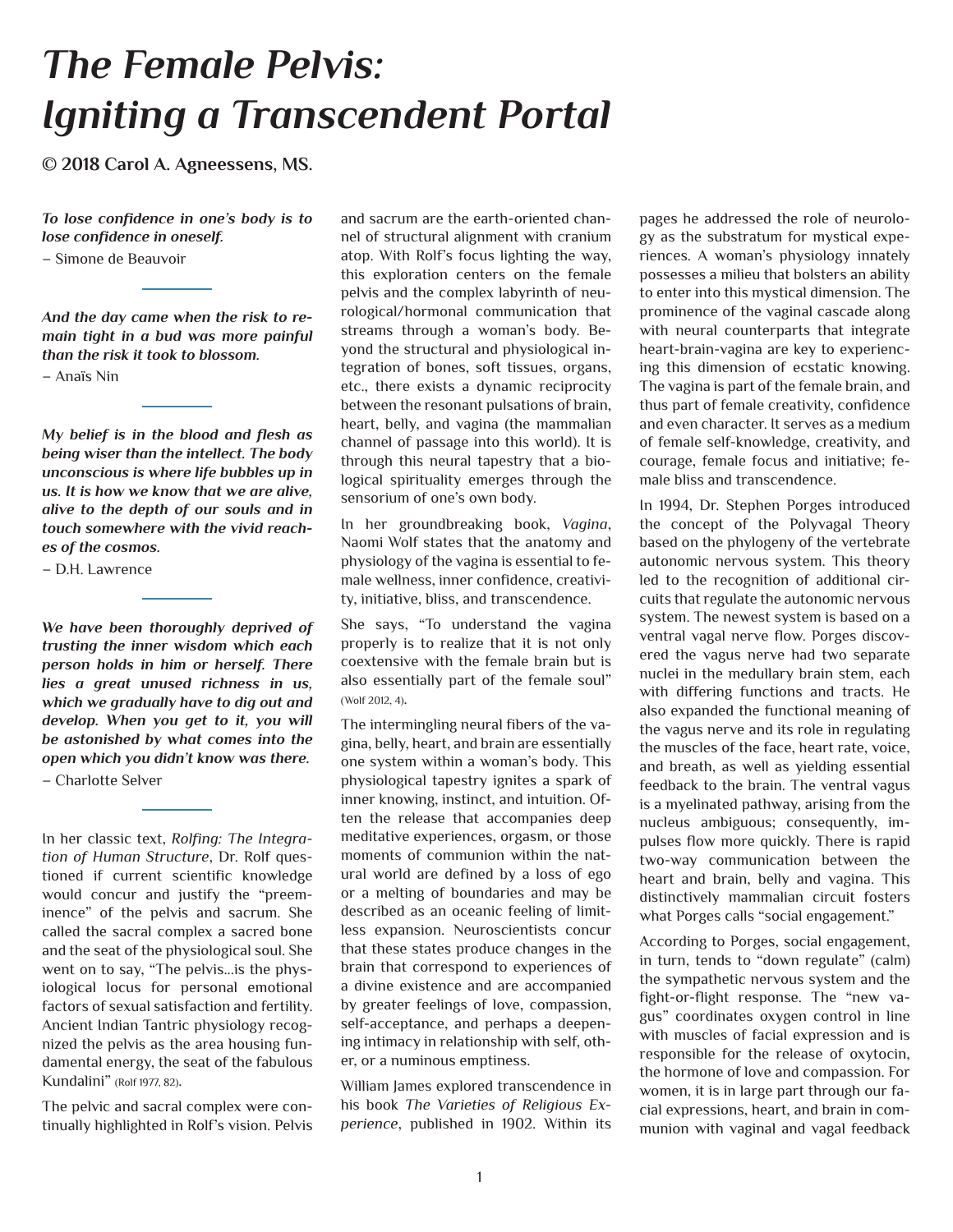# *The Female Pelvis: Igniting a Transcendent Portal*

**© 2018 Carol A. Agneessens, MS.**

*To lose confidence in one's body is to lose confidence in oneself.* 

– Simone de Beauvoir

*And the day came when the risk to remain tight in a bud was more painful than the risk it took to blossom.*

– Anaïs Nin

*My belief is in the blood and flesh as being wiser than the intellect. The body unconscious is where life bubbles up in us. It is how we know that we are alive, alive to the depth of our souls and in touch somewhere with the vivid reaches of the cosmos.*

– D.H. Lawrence

*We have been thoroughly deprived of trusting the inner wisdom which each person holds in him or herself. There lies a great unused richness in us, which we gradually have to dig out and develop. When you get to it, you will be astonished by what comes into the open which you didn't know was there.*

– Charlotte Selver

In her classic text, *Rolfing: The Integration of Human Structure*, Dr. Rolf questioned if current scientific knowledge would concur and justify the "preeminence" of the pelvis and sacrum. She called the sacral complex a sacred bone and the seat of the physiological soul. She went on to say, "The pelvis...is the physiological locus for personal emotional factors of sexual satisfaction and fertility. Ancient Indian Tantric physiology recognized the pelvis as the area housing fundamental energy, the seat of the fabulous Kundalini" (Rolf 1977, 82).

The pelvic and sacral complex were continually highlighted in Rolf's vision. Pelvis and sacrum are the earth-oriented channel of structural alignment with cranium atop. With Rolf's focus lighting the way, this exploration centers on the female pelvis and the complex labyrinth of neurological/hormonal communication that streams through a woman's body. Beyond the structural and physiological integration of bones, soft tissues, organs, etc., there exists a dynamic reciprocity between the resonant pulsations of brain, heart, belly, and vagina (the mammalian channel of passage into this world). It is through this neural tapestry that a biological spirituality emerges through the sensorium of one's own body.

In her groundbreaking book, *Vagina*, Naomi Wolf states that the anatomy and physiology of the vagina is essential to female wellness, inner confidence, creativity, initiative, bliss, and transcendence.

She says, "To understand the vagina properly is to realize that it is not only coextensive with the female brain but is also essentially part of the female soul" (Wolf 2012, 4).

The intermingling neural fibers of the vagina, belly, heart, and brain are essentially one system within a woman's body. This physiological tapestry ignites a spark of inner knowing, instinct, and intuition. Often the release that accompanies deep meditative experiences, orgasm, or those moments of communion within the natural world are defined by a loss of ego or a melting of boundaries and may be described as an oceanic feeling of limitless expansion. Neuroscientists concur that these states produce changes in the brain that correspond to experiences of a divine existence and are accompanied by greater feelings of love, compassion, self-acceptance, and perhaps a deepening intimacy in relationship with self, other, or a numinous emptiness.

William James explored transcendence in his book *The Varieties of Religious Experience*, published in 1902. Within its

pages he addressed the role of neurology as the substratum for mystical experiences. A woman's physiology innately possesses a milieu that bolsters an ability to enter into this mystical dimension. The prominence of the vaginal cascade along with neural counterparts that integrate heart-brain-vagina are key to experiencing this dimension of ecstatic knowing. The vagina is part of the female brain, and thus part of female creativity, confidence and even character. It serves as a medium of female self-knowledge, creativity, and courage, female focus and initiative; female bliss and transcendence.

In 1994, Dr. Stephen Porges introduced the concept of the Polyvagal Theory based on the phylogeny of the vertebrate autonomic nervous system. This theory led to the recognition of additional circuits that regulate the autonomic nervous system. The newest system is based on a ventral vagal nerve flow. Porges discovered the vagus nerve had two separate nuclei in the medullary brain stem, each with differing functions and tracts. He also expanded the functional meaning of the vagus nerve and its role in regulating the muscles of the face, heart rate, voice, and breath, as well as yielding essential feedback to the brain. The ventral vagus is a myelinated pathway, arising from the nucleus ambiguous; consequently, impulses flow more quickly. There is rapid two-way communication between the heart and brain, belly and vagina. This distinctively mammalian circuit fosters what Porges calls "social engagement."

According to Porges, social engagement, in turn, tends to "down regulate" (calm) the sympathetic nervous system and the fight-or-flight response. The "new vagus" coordinates oxygen control in line with muscles of facial expression and is responsible for the release of oxytocin, the hormone of love and compassion. For women, it is in large part through our facial expressions, heart, and brain in communion with vaginal and vagal feedback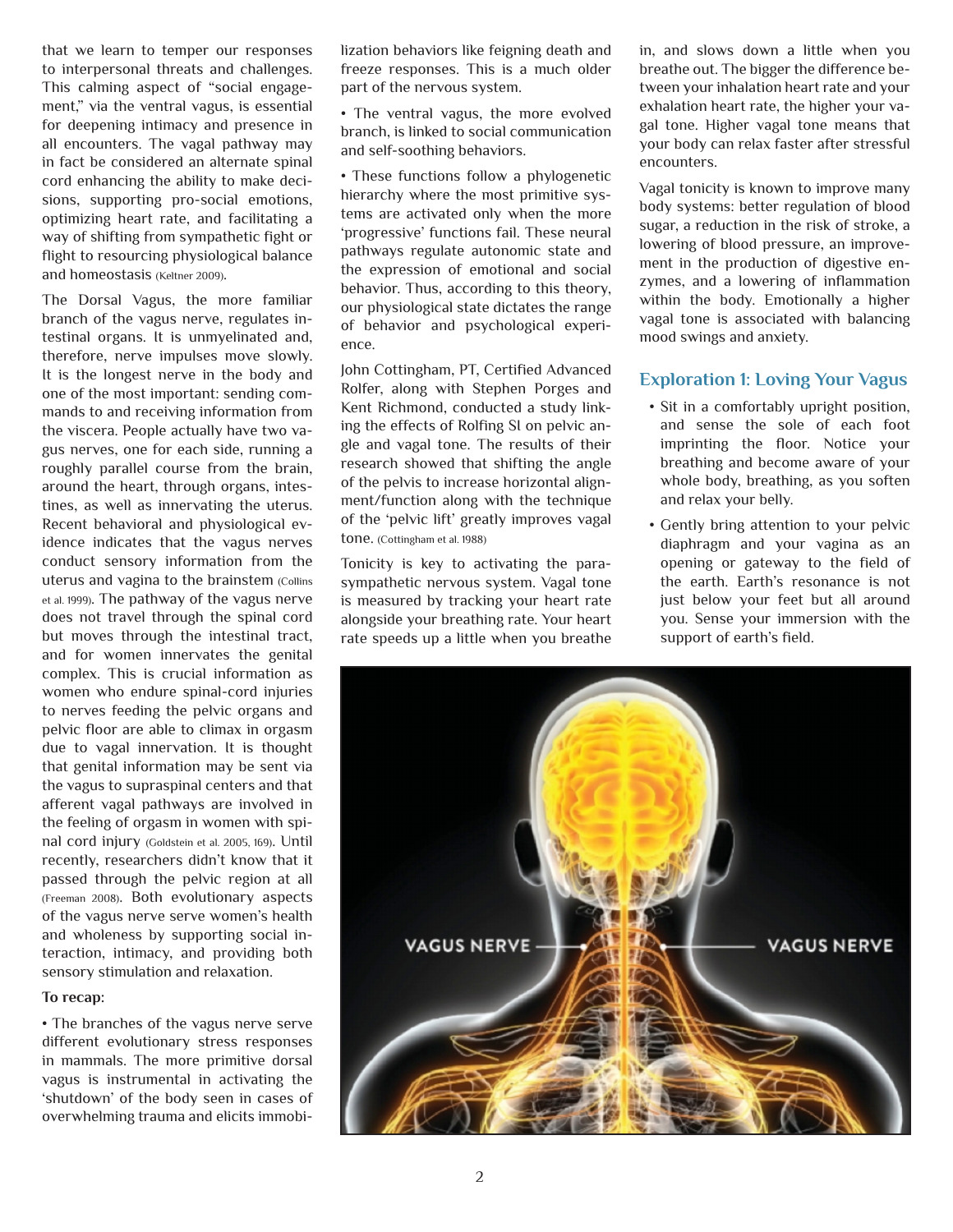that we learn to temper our responses to interpersonal threats and challenges. This calming aspect of "social engagement," via the ventral vagus, is essential for deepening intimacy and presence in all encounters. The vagal pathway may in fact be considered an alternate spinal cord enhancing the ability to make decisions, supporting pro-social emotions, optimizing heart rate, and facilitating a way of shifting from sympathetic fight or flight to resourcing physiological balance and homeostasis (Keltner 2009).

The Dorsal Vagus, the more familiar branch of the vagus nerve, regulates intestinal organs. It is unmyelinated and, therefore, nerve impulses move slowly. It is the longest nerve in the body and one of the most important: sending commands to and receiving information from the viscera. People actually have two vagus nerves, one for each side, running a roughly parallel course from the brain, around the heart, through organs, intestines, as well as innervating the uterus. Recent behavioral and physiological evidence indicates that the vagus nerves conduct sensory information from the uterus and vagina to the brainstem (Collins et al. 1999). The pathway of the vagus nerve does not travel through the spinal cord but moves through the intestinal tract, and for women innervates the genital complex. This is crucial information as women who endure spinal-cord injuries to nerves feeding the pelvic organs and pelvic floor are able to climax in orgasm due to vagal innervation. It is thought that genital information may be sent via the vagus to supraspinal centers and that afferent vagal pathways are involved in the feeling of orgasm in women with spinal cord injury (Goldstein et al. 2005, 169). Until recently, researchers didn't know that it passed through the pelvic region at all (Freeman 2008). Both evolutionary aspects of the vagus nerve serve women's health and wholeness by supporting social interaction, intimacy, and providing both sensory stimulation and relaxation.

#### **To recap:**

• The branches of the vagus nerve serve different evolutionary stress responses in mammals. The more primitive dorsal vagus is instrumental in activating the 'shutdown' of the body seen in cases of overwhelming trauma and elicits immobilization behaviors like feigning death and freeze responses. This is a much older part of the nervous system.

• The ventral vagus, the more evolved branch, is linked to social communication and self-soothing behaviors.

• These functions follow a phylogenetic hierarchy where the most primitive systems are activated only when the more 'progressive' functions fail. These neural pathways regulate autonomic state and the expression of emotional and social behavior. Thus, according to this theory, our physiological state dictates the range of behavior and psychological experience.

John Cottingham, PT, Certified Advanced Rolfer, along with Stephen Porges and Kent Richmond, conducted a study linking the effects of Rolfing SI on pelvic angle and vagal tone. The results of their research showed that shifting the angle of the pelvis to increase horizontal alignment/function along with the technique of the 'pelvic lift' greatly improves vagal tone. (Cottingham et al. 1988)

Tonicity is key to activating the parasympathetic nervous system. Vagal tone is measured by tracking your heart rate alongside your breathing rate. Your heart rate speeds up a little when you breathe

in, and slows down a little when you breathe out. The bigger the difference between your inhalation heart rate and your exhalation heart rate, the higher your vagal tone. Higher vagal tone means that your body can relax faster after stressful encounters.

Vagal tonicity is known to improve many body systems: better regulation of blood sugar, a reduction in the risk of stroke, a lowering of blood pressure, an improvement in the production of digestive enzymes, and a lowering of inflammation within the body. Emotionally a higher vagal tone is associated with balancing mood swings and anxiety.

### **Exploration 1: Loving Your Vagus**

- Sit in a comfortably upright position, and sense the sole of each foot imprinting the floor. Notice your breathing and become aware of your whole body, breathing, as you soften and relax your belly.
- Gently bring attention to your pelvic diaphragm and your vagina as an opening or gateway to the field of the earth. Earth's resonance is not just below your feet but all around you. Sense your immersion with the support of earth's field.

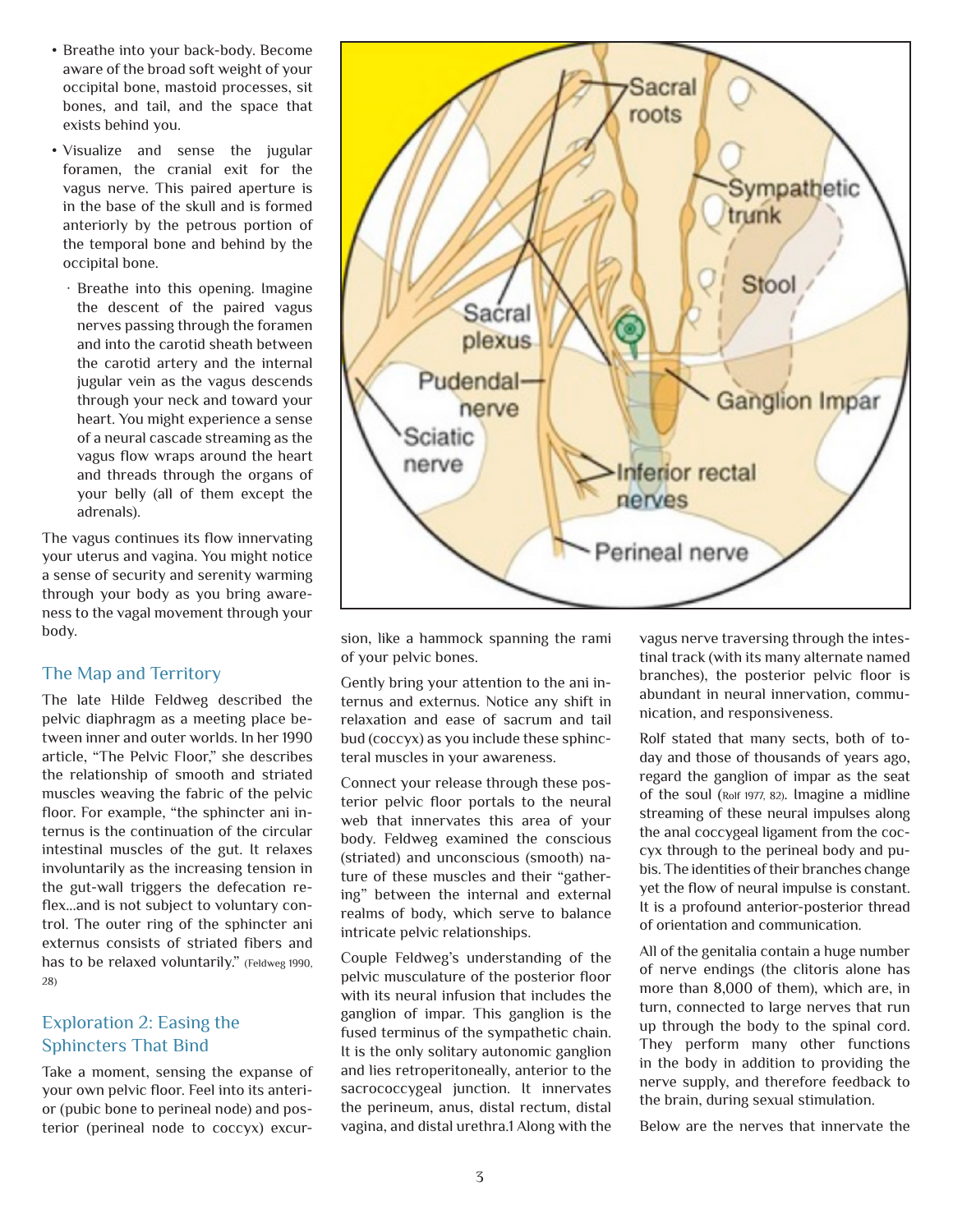- Breathe into your back-body. Become aware of the broad soft weight of your occipital bone, mastoid processes, sit bones, and tail, and the space that exists behind you.
- Visualize and sense the jugular foramen, the cranial exit for the vagus nerve. This paired aperture is in the base of the skull and is formed anteriorly by the petrous portion of the temporal bone and behind by the occipital bone.
	- · Breathe into this opening. Imagine the descent of the paired vagus nerves passing through the foramen and into the carotid sheath between the carotid artery and the internal jugular vein as the vagus descends through your neck and toward your heart. You might experience a sense of a neural cascade streaming as the vagus flow wraps around the heart and threads through the organs of your belly (all of them except the adrenals).

The vagus continues its flow innervating your uterus and vagina. You might notice a sense of security and serenity warming through your body as you bring awareness to the vagal movement through your body.

## The Map and Territory

The late Hilde Feldweg described the pelvic diaphragm as a meeting place between inner and outer worlds. In her 1990 article, "The Pelvic Floor," she describes the relationship of smooth and striated muscles weaving the fabric of the pelvic floor. For example, "the sphincter ani internus is the continuation of the circular intestinal muscles of the gut. It relaxes involuntarily as the increasing tension in the gut-wall triggers the defecation reflex...and is not subject to voluntary control. The outer ring of the sphincter ani externus consists of striated fibers and has to be relaxed voluntarily." (Feldweg 1990, 28)

## Exploration 2: Easing the Sphincters That Bind

Take a moment, sensing the expanse of your own pelvic floor. Feel into its anterior (pubic bone to perineal node) and posterior (perineal node to coccyx) excur-



sion, like a hammock spanning the rami of your pelvic bones.

Gently bring your attention to the ani internus and externus. Notice any shift in relaxation and ease of sacrum and tail bud (coccyx) as you include these sphincteral muscles in your awareness.

Connect your release through these posterior pelvic floor portals to the neural web that innervates this area of your body. Feldweg examined the conscious (striated) and unconscious (smooth) nature of these muscles and their "gathering" between the internal and external realms of body, which serve to balance intricate pelvic relationships.

Couple Feldweg's understanding of the pelvic musculature of the posterior floor with its neural infusion that includes the ganglion of impar. This ganglion is the fused terminus of the sympathetic chain. It is the only solitary autonomic ganglion and lies retroperitoneally, anterior to the sacrococcygeal junction. It innervates the perineum, anus, distal rectum, distal vagina, and distal urethra.1 Along with the

vagus nerve traversing through the intestinal track (with its many alternate named branches), the posterior pelvic floor is abundant in neural innervation, communication, and responsiveness.

Rolf stated that many sects, both of today and those of thousands of years ago, regard the ganglion of impar as the seat of the soul (Rolf 1977, 82). Imagine a midline streaming of these neural impulses along the anal coccygeal ligament from the coccyx through to the perineal body and pubis. The identities of their branches change yet the flow of neural impulse is constant. It is a profound anterior-posterior thread of orientation and communication.

All of the genitalia contain a huge number of nerve endings (the clitoris alone has more than 8,000 of them), which are, in turn, connected to large nerves that run up through the body to the spinal cord. They perform many other functions in the body in addition to providing the nerve supply, and therefore feedback to the brain, during sexual stimulation.

Below are the nerves that innervate the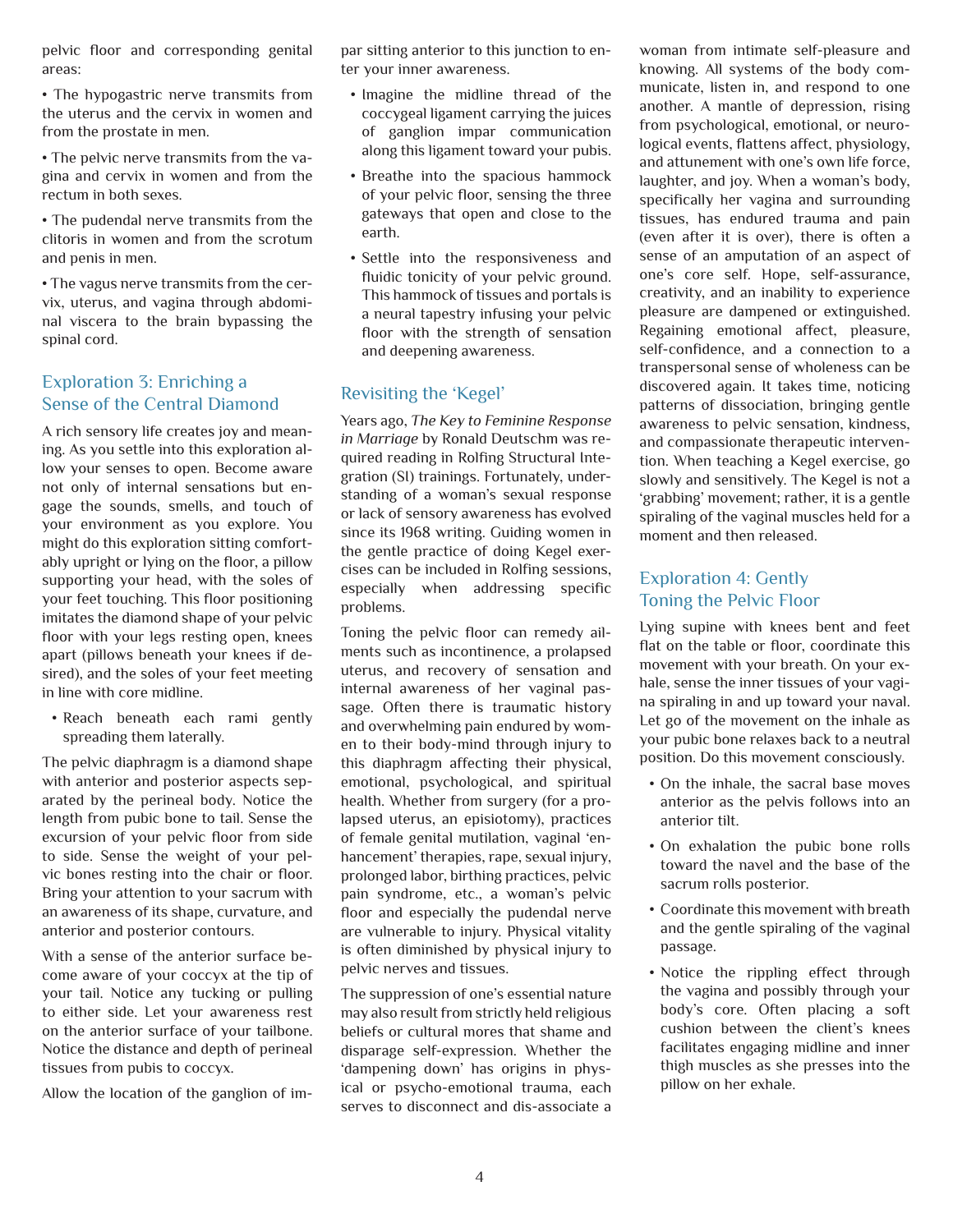pelvic floor and corresponding genital areas:

• The hypogastric nerve transmits from the uterus and the cervix in women and from the prostate in men.

• The pelvic nerve transmits from the vagina and cervix in women and from the rectum in both sexes.

• The pudendal nerve transmits from the clitoris in women and from the scrotum and penis in men.

• The vagus nerve transmits from the cervix, uterus, and vagina through abdominal viscera to the brain bypassing the spinal cord.

### Exploration 3: Enriching a Sense of the Central Diamond

A rich sensory life creates joy and meaning. As you settle into this exploration allow your senses to open. Become aware not only of internal sensations but engage the sounds, smells, and touch of your environment as you explore. You might do this exploration sitting comfortably upright or lying on the floor, a pillow supporting your head, with the soles of your feet touching. This floor positioning imitates the diamond shape of your pelvic floor with your legs resting open, knees apart (pillows beneath your knees if desired), and the soles of your feet meeting in line with core midline.

• Reach beneath each rami gently spreading them laterally.

The pelvic diaphragm is a diamond shape with anterior and posterior aspects separated by the perineal body. Notice the length from pubic bone to tail. Sense the excursion of your pelvic floor from side to side. Sense the weight of your pelvic bones resting into the chair or floor. Bring your attention to your sacrum with an awareness of its shape, curvature, and anterior and posterior contours.

With a sense of the anterior surface become aware of your coccyx at the tip of your tail. Notice any tucking or pulling to either side. Let your awareness rest on the anterior surface of your tailbone. Notice the distance and depth of perineal tissues from pubis to coccyx.

Allow the location of the ganglion of im-

par sitting anterior to this junction to enter your inner awareness.

- Imagine the midline thread of the coccygeal ligament carrying the juices of ganglion impar communication along this ligament toward your pubis.
- Breathe into the spacious hammock of your pelvic floor, sensing the three gateways that open and close to the earth.
- Settle into the responsiveness and fluidic tonicity of your pelvic ground. This hammock of tissues and portals is a neural tapestry infusing your pelvic floor with the strength of sensation and deepening awareness.

## Revisiting the 'Kegel'

Years ago, *The Key to Feminine Response in Marriage* by Ronald Deutschm was required reading in Rolfing Structural Integration (SI) trainings. Fortunately, understanding of a woman's sexual response or lack of sensory awareness has evolved since its 1968 writing. Guiding women in the gentle practice of doing Kegel exercises can be included in Rolfing sessions, especially when addressing specific problems.

Toning the pelvic floor can remedy ailments such as incontinence, a prolapsed uterus, and recovery of sensation and internal awareness of her vaginal passage. Often there is traumatic history and overwhelming pain endured by women to their body-mind through injury to this diaphragm affecting their physical, emotional, psychological, and spiritual health. Whether from surgery (for a prolapsed uterus, an episiotomy), practices of female genital mutilation, vaginal 'enhancement' therapies, rape, sexual injury, prolonged labor, birthing practices, pelvic pain syndrome, etc., a woman's pelvic floor and especially the pudendal nerve are vulnerable to injury. Physical vitality is often diminished by physical injury to pelvic nerves and tissues.

The suppression of one's essential nature may also result from strictly held religious beliefs or cultural mores that shame and disparage self-expression. Whether the 'dampening down' has origins in physical or psycho-emotional trauma, each serves to disconnect and dis-associate a

woman from intimate self-pleasure and knowing. All systems of the body communicate, listen in, and respond to one another. A mantle of depression, rising from psychological, emotional, or neurological events, flattens affect, physiology, and attunement with one's own life force, laughter, and joy. When a woman's body, specifically her vagina and surrounding tissues, has endured trauma and pain (even after it is over), there is often a sense of an amputation of an aspect of one's core self. Hope, self-assurance, creativity, and an inability to experience pleasure are dampened or extinguished. Regaining emotional affect, pleasure, self-confidence, and a connection to a transpersonal sense of wholeness can be discovered again. It takes time, noticing patterns of dissociation, bringing gentle awareness to pelvic sensation, kindness, and compassionate therapeutic intervention. When teaching a Kegel exercise, go slowly and sensitively. The Kegel is not a 'grabbing' movement; rather, it is a gentle spiraling of the vaginal muscles held for a moment and then released.

## Exploration 4: Gently Toning the Pelvic Floor

Lying supine with knees bent and feet flat on the table or floor, coordinate this movement with your breath. On your exhale, sense the inner tissues of your vagina spiraling in and up toward your naval. Let go of the movement on the inhale as your pubic bone relaxes back to a neutral position. Do this movement consciously.

- On the inhale, the sacral base moves anterior as the pelvis follows into an anterior tilt.
- On exhalation the pubic bone rolls toward the navel and the base of the sacrum rolls posterior.
- Coordinate this movement with breath and the gentle spiraling of the vaginal passage.
- Notice the rippling effect through the vagina and possibly through your body's core. Often placing a soft cushion between the client's knees facilitates engaging midline and inner thigh muscles as she presses into the pillow on her exhale.